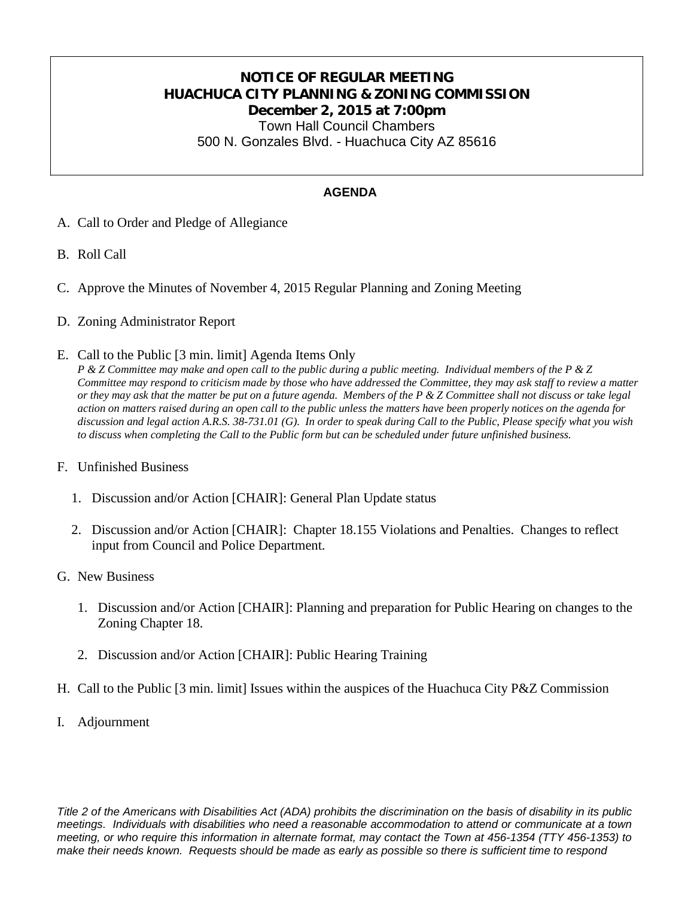## **NOTICE OF REGULAR MEETING HUACHUCA CITY PLANNING & ZONING COMMISSION December 2, 2015 at 7:00pm** Town Hall Council Chambers 500 N. Gonzales Blvd. - Huachuca City AZ 85616

### **AGENDA**

- A. Call to Order and Pledge of Allegiance
- B. Roll Call
- C. Approve the Minutes of November 4, 2015 Regular Planning and Zoning Meeting
- D. Zoning Administrator Report
- E. Call to the Public [3 min. limit] Agenda Items Only

*P & Z Committee may make and open call to the public during a public meeting. Individual members of the P & Z Committee may respond to criticism made by those who have addressed the Committee, they may ask staff to review a matter or they may ask that the matter be put on a future agenda. Members of the P & Z Committee shall not discuss or take legal action on matters raised during an open call to the public unless the matters have been properly notices on the agenda for discussion and legal action A.R.S. 38-731.01 (G). In order to speak during Call to the Public, Please specify what you wish to discuss when completing the Call to the Public form but can be scheduled under future unfinished business.*

#### F. Unfinished Business

- 1. Discussion and/or Action [CHAIR]: General Plan Update status
- 2. Discussion and/or Action [CHAIR]: Chapter 18.155 Violations and Penalties. Changes to reflect input from Council and Police Department.
- G. New Business
	- 1. Discussion and/or Action [CHAIR]: Planning and preparation for Public Hearing on changes to the Zoning Chapter 18.
	- 2. Discussion and/or Action [CHAIR]: Public Hearing Training
- H. Call to the Public [3 min. limit] Issues within the auspices of the Huachuca City P&Z Commission
- I. Adjournment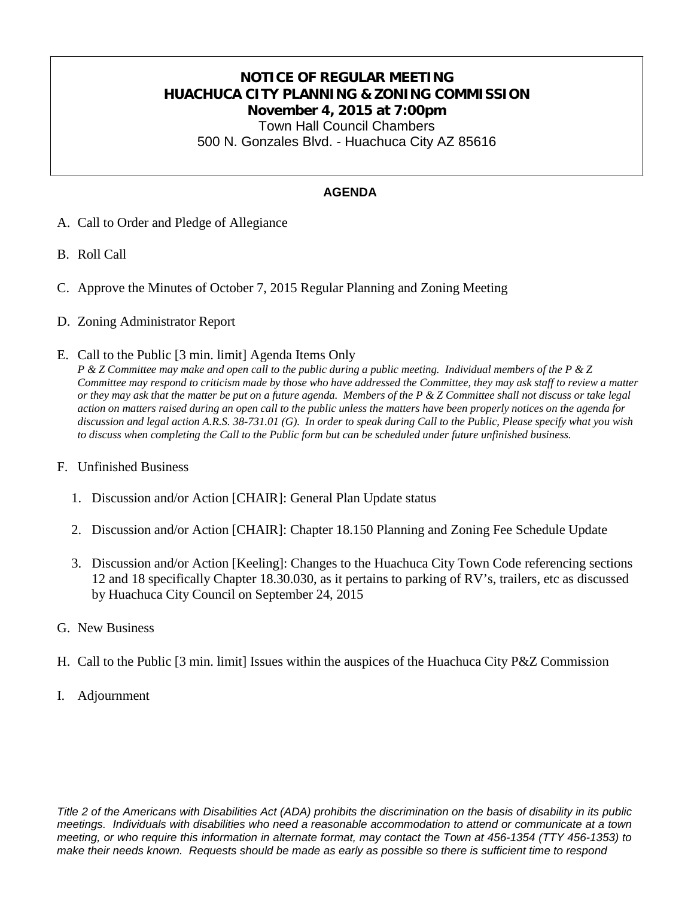# **NOTICE OF REGULAR MEETING HUACHUCA CITY PLANNING & ZONING COMMISSION November 4, 2015 at 7:00pm** Town Hall Council Chambers

500 N. Gonzales Blvd. - Huachuca City AZ 85616

### **AGENDA**

- A. Call to Order and Pledge of Allegiance
- B. Roll Call
- C. Approve the Minutes of October 7, 2015 Regular Planning and Zoning Meeting
- D. Zoning Administrator Report
- E. Call to the Public [3 min. limit] Agenda Items Only

*P & Z Committee may make and open call to the public during a public meeting. Individual members of the P & Z Committee may respond to criticism made by those who have addressed the Committee, they may ask staff to review a matter or they may ask that the matter be put on a future agenda. Members of the P & Z Committee shall not discuss or take legal action on matters raised during an open call to the public unless the matters have been properly notices on the agenda for discussion and legal action A.R.S. 38-731.01 (G). In order to speak during Call to the Public, Please specify what you wish to discuss when completing the Call to the Public form but can be scheduled under future unfinished business.*

#### F. Unfinished Business

- 1. Discussion and/or Action [CHAIR]: General Plan Update status
- 2. Discussion and/or Action [CHAIR]: Chapter 18.150 Planning and Zoning Fee Schedule Update
- 3. Discussion and/or Action [Keeling]: Changes to the Huachuca City Town Code referencing sections 12 and 18 specifically Chapter 18.30.030, as it pertains to parking of RV's, trailers, etc as discussed by Huachuca City Council on September 24, 2015
- G. New Business
- H. Call to the Public [3 min. limit] Issues within the auspices of the Huachuca City P&Z Commission
- I. Adjournment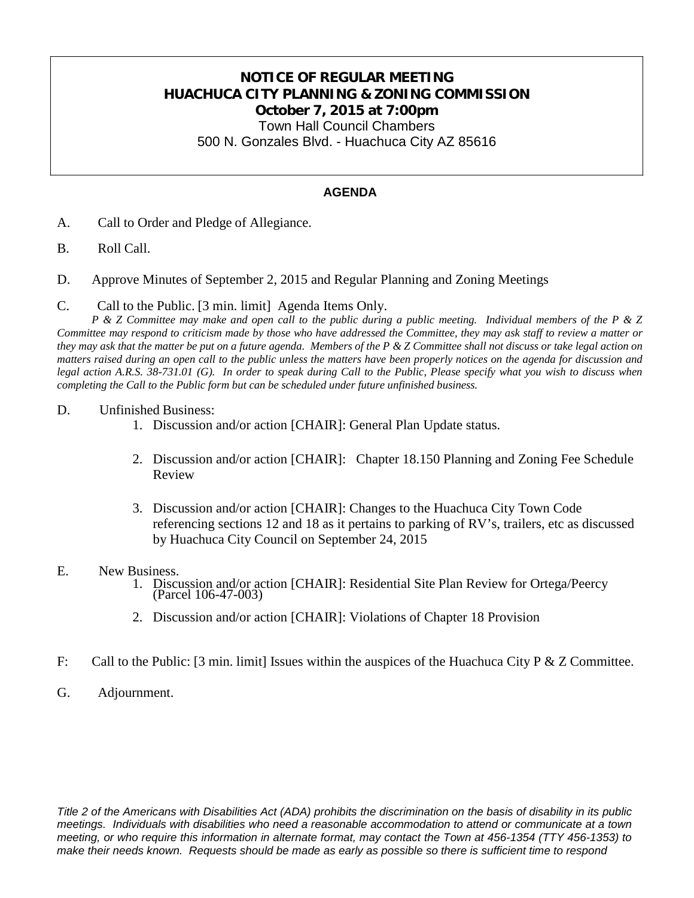# **NOTICE OF REGULAR MEETING HUACHUCA CITY PLANNING & ZONING COMMISSION October 7, 2015 at 7:00pm**

Town Hall Council Chambers 500 N. Gonzales Blvd. - Huachuca City AZ 85616

#### **AGENDA**

- A. Call to Order and Pledge of Allegiance.
- B. Roll Call.
- D. Approve Minutes of September 2, 2015 and Regular Planning and Zoning Meetings
- C. Call to the Public. [3 min. limit] Agenda Items Only.

*P & Z Committee may make and open call to the public during a public meeting. Individual members of the P & Z Committee may respond to criticism made by those who have addressed the Committee, they may ask staff to review a matter or they may ask that the matter be put on a future agenda. Members of the P & Z Committee shall not discuss or take legal action on matters raised during an open call to the public unless the matters have been properly notices on the agenda for discussion and legal action A.R.S. 38-731.01 (G). In order to speak during Call to the Public, Please specify what you wish to discuss when completing the Call to the Public form but can be scheduled under future unfinished business.*

#### D. Unfinished Business:

- 1. Discussion and/or action [CHAIR]: General Plan Update status.
- 2. Discussion and/or action [CHAIR]: Chapter 18.150 Planning and Zoning Fee Schedule Review
- 3. Discussion and/or action [CHAIR]: Changes to the Huachuca City Town Code referencing sections 12 and 18 as it pertains to parking of RV's, trailers, etc as discussed by Huachuca City Council on September 24, 2015
- E. New Business.
	- 1. Discussion and/or action [CHAIR]: Residential Site Plan Review for Ortega/Peercy (Parcel 106-47-003)
	- 2. Discussion and/or action [CHAIR]: Violations of Chapter 18 Provision
- F: Call to the Public: [3 min. limit] Issues within the auspices of the Huachuca City P & Z Committee.
- G. Adjournment.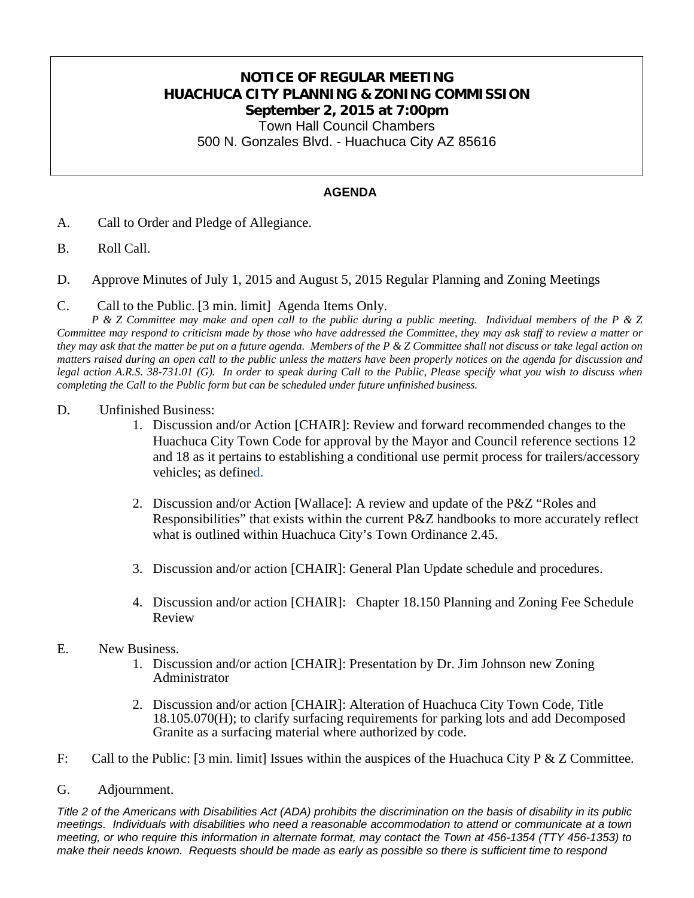## **NOTICE OF REGULAR MEETING HUACHUCA CITY PLANNING & ZONING COMMISSION September 2, 2015 at 7:00pm** Town Hall Council Chambers

500 N. Gonzales Blvd. - Huachuca City AZ 85616

### **AGENDA**

- A. Call to Order and Pledge of Allegiance.
- B. Roll Call.
- D. Approve Minutes of July 1, 2015 and August 5, 2015 Regular Planning and Zoning Meetings
- C. Call to the Public. [3 min. limit] Agenda Items Only.

*P & Z Committee may make and open call to the public during a public meeting. Individual members of the P & Z Committee may respond to criticism made by those who have addressed the Committee, they may ask staff to review a matter or they may ask that the matter be put on a future agenda. Members of the P & Z Committee shall not discuss or take legal action on matters raised during an open call to the public unless the matters have been properly notices on the agenda for discussion and legal action A.R.S. 38-731.01 (G). In order to speak during Call to the Public, Please specify what you wish to discuss when completing the Call to the Public form but can be scheduled under future unfinished business.*

- D. Unfinished Business:
	- 1. Discussion and/or Action [CHAIR]: Review and forward recommended changes to the Huachuca City Town Code for approval by the Mayor and Council reference sections 12 and 18 as it pertains to establishing a conditional use permit process for trailers/accessory vehicles; as defined.
	- 2. Discussion and/or Action [Wallace]: A review and update of the P&Z "Roles and Responsibilities" that exists within the current P&Z handbooks to more accurately reflect what is outlined within Huachuca City's Town Ordinance 2.45.
	- 3. Discussion and/or action [CHAIR]: General Plan Update schedule and procedures.
	- 4. Discussion and/or action [CHAIR]: Chapter 18.150 Planning and Zoning Fee Schedule Review
- E. New Business.
	- 1. Discussion and/or action [CHAIR]: Presentation by Dr. Jim Johnson new Zoning Administrator
	- 2. Discussion and/or action [CHAIR]: Alteration of Huachuca City Town Code, Title 18.105.070(H); to clarify surfacing requirements for parking lots and add Decomposed Granite as a surfacing material where authorized by code.
- F: Call to the Public: [3 min. limit] Issues within the auspices of the Huachuca City P & Z Committee.
- G. Adjournment.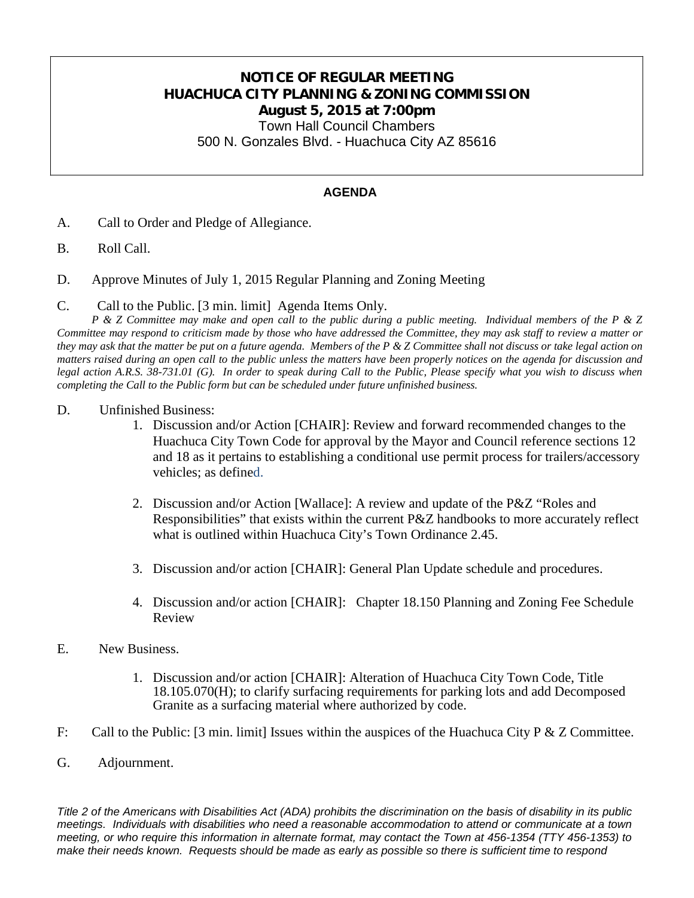## **NOTICE OF REGULAR MEETING HUACHUCA CITY PLANNING & ZONING COMMISSION August 5, 2015 at 7:00pm**

Town Hall Council Chambers

500 N. Gonzales Blvd. - Huachuca City AZ 85616

### **AGENDA**

- A. Call to Order and Pledge of Allegiance.
- B. Roll Call.
- D. Approve Minutes of July 1, 2015 Regular Planning and Zoning Meeting
- C. Call to the Public. [3 min. limit] Agenda Items Only.

*P & Z Committee may make and open call to the public during a public meeting. Individual members of the P & Z Committee may respond to criticism made by those who have addressed the Committee, they may ask staff to review a matter or they may ask that the matter be put on a future agenda. Members of the P & Z Committee shall not discuss or take legal action on matters raised during an open call to the public unless the matters have been properly notices on the agenda for discussion and legal action A.R.S. 38-731.01 (G). In order to speak during Call to the Public, Please specify what you wish to discuss when completing the Call to the Public form but can be scheduled under future unfinished business.*

- D. Unfinished Business:
	- 1. Discussion and/or Action [CHAIR]: Review and forward recommended changes to the Huachuca City Town Code for approval by the Mayor and Council reference sections 12 and 18 as it pertains to establishing a conditional use permit process for trailers/accessory vehicles; as defined.
	- 2. Discussion and/or Action [Wallace]: A review and update of the P&Z "Roles and Responsibilities" that exists within the current P&Z handbooks to more accurately reflect what is outlined within Huachuca City's Town Ordinance 2.45.
	- 3. Discussion and/or action [CHAIR]: General Plan Update schedule and procedures.
	- 4. Discussion and/or action [CHAIR]: Chapter 18.150 Planning and Zoning Fee Schedule Review
- E. New Business.
	- 1. Discussion and/or action [CHAIR]: Alteration of Huachuca City Town Code, Title 18.105.070(H); to clarify surfacing requirements for parking lots and add Decomposed Granite as a surfacing material where authorized by code.
- F: Call to the Public: [3 min. limit] Issues within the auspices of the Huachuca City P & Z Committee.
- G. Adjournment.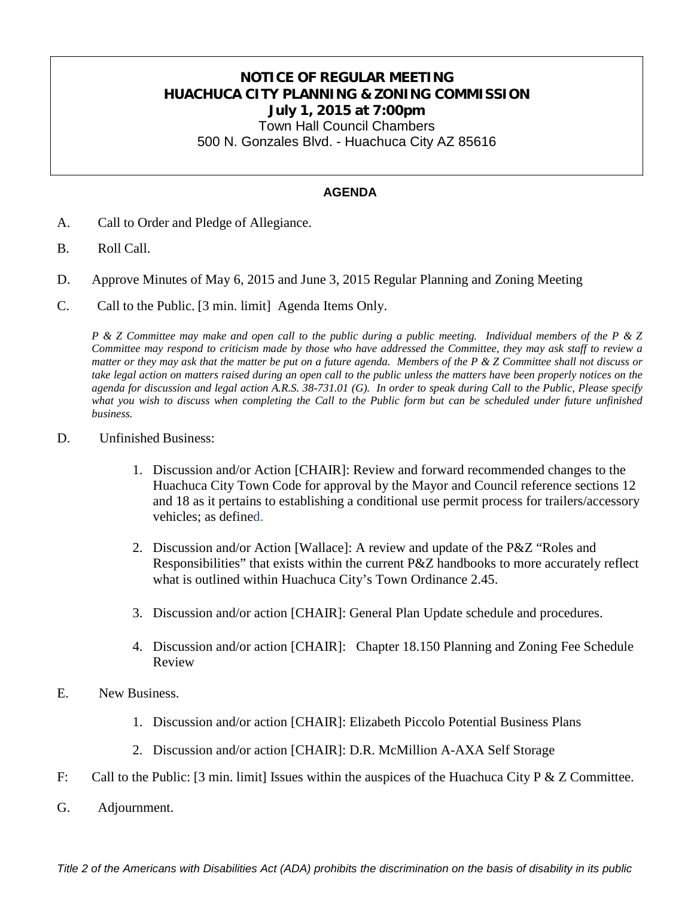## **NOTICE OF REGULAR MEETING HUACHUCA CITY PLANNING & ZONING COMMISSION July 1, 2015 at 7:00pm** Town Hall Council Chambers

500 N. Gonzales Blvd. - Huachuca City AZ 85616

#### **AGENDA**

- A. Call to Order and Pledge of Allegiance.
- B. Roll Call.
- D. Approve Minutes of May 6, 2015 and June 3, 2015 Regular Planning and Zoning Meeting
- C. Call to the Public. [3 min. limit] Agenda Items Only.

*P & Z Committee may make and open call to the public during a public meeting. Individual members of the P & Z Committee may respond to criticism made by those who have addressed the Committee, they may ask staff to review a matter or they may ask that the matter be put on a future agenda. Members of the P & Z Committee shall not discuss or take legal action on matters raised during an open call to the public unless the matters have been properly notices on the agenda for discussion and legal action A.R.S. 38-731.01 (G). In order to speak during Call to the Public, Please specify*  what you wish to discuss when completing the Call to the Public form but can be scheduled under future unfinished *business.*

- D. Unfinished Business:
	- 1. Discussion and/or Action [CHAIR]: Review and forward recommended changes to the Huachuca City Town Code for approval by the Mayor and Council reference sections 12 and 18 as it pertains to establishing a conditional use permit process for trailers/accessory vehicles; as defined.
	- 2. Discussion and/or Action [Wallace]: A review and update of the P&Z "Roles and Responsibilities" that exists within the current P&Z handbooks to more accurately reflect what is outlined within Huachuca City's Town Ordinance 2.45.
	- 3. Discussion and/or action [CHAIR]: General Plan Update schedule and procedures.
	- 4. Discussion and/or action [CHAIR]: Chapter 18.150 Planning and Zoning Fee Schedule Review
- E. New Business.
	- 1. Discussion and/or action [CHAIR]: Elizabeth Piccolo Potential Business Plans
	- 2. Discussion and/or action [CHAIR]: D.R. McMillion A-AXA Self Storage
- F: Call to the Public: [3 min. limit] Issues within the auspices of the Huachuca City P & Z Committee.
- G. Adjournment.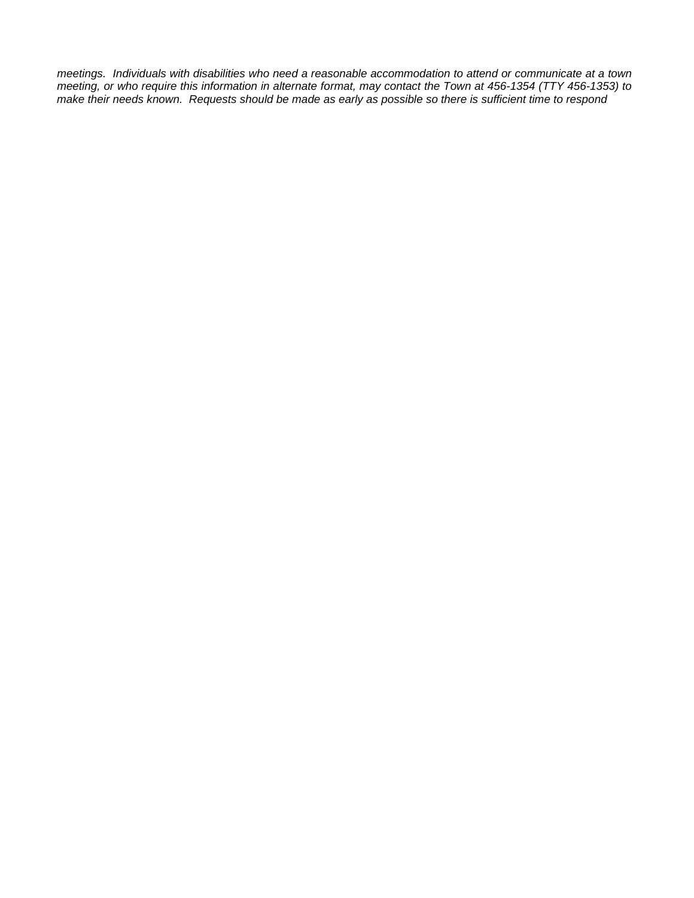*meetings. Individuals with disabilities who need a reasonable accommodation to attend or communicate at a town meeting, or who require this information in alternate format, may contact the Town at 456-1354 (TTY 456-1353) to make their needs known. Requests should be made as early as possible so there is sufficient time to respond*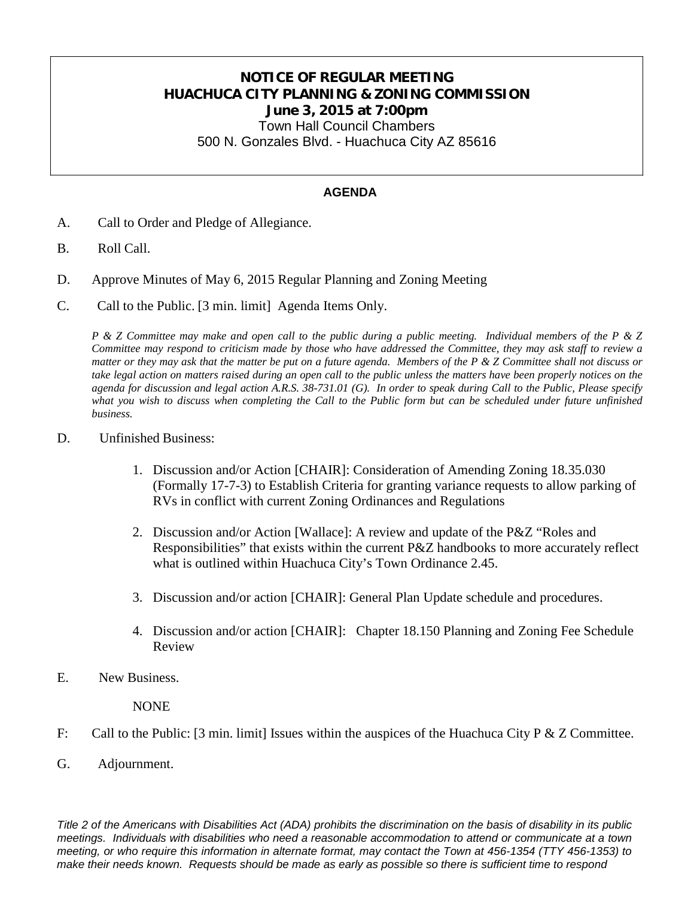# **NOTICE OF REGULAR MEETING HUACHUCA CITY PLANNING & ZONING COMMISSION June 3, 2015 at 7:00pm**

Town Hall Council Chambers 500 N. Gonzales Blvd. - Huachuca City AZ 85616

#### **AGENDA**

- A. Call to Order and Pledge of Allegiance.
- B. Roll Call.
- D. Approve Minutes of May 6, 2015 Regular Planning and Zoning Meeting
- C. Call to the Public. [3 min. limit] Agenda Items Only.

*P & Z Committee may make and open call to the public during a public meeting. Individual members of the P & Z Committee may respond to criticism made by those who have addressed the Committee, they may ask staff to review a matter or they may ask that the matter be put on a future agenda. Members of the P & Z Committee shall not discuss or take legal action on matters raised during an open call to the public unless the matters have been properly notices on the agenda for discussion and legal action A.R.S. 38-731.01 (G). In order to speak during Call to the Public, Please specify*  what you wish to discuss when completing the Call to the Public form but can be scheduled under future unfinished *business.*

### D. Unfinished Business:

- 1. Discussion and/or Action [CHAIR]: Consideration of Amending Zoning 18.35.030 (Formally 17-7-3) to Establish Criteria for granting variance requests to allow parking of RVs in conflict with current Zoning Ordinances and Regulations
- 2. Discussion and/or Action [Wallace]: A review and update of the P&Z "Roles and Responsibilities" that exists within the current P&Z handbooks to more accurately reflect what is outlined within Huachuca City's Town Ordinance 2.45.
- 3. Discussion and/or action [CHAIR]: General Plan Update schedule and procedures.
- 4. Discussion and/or action [CHAIR]: Chapter 18.150 Planning and Zoning Fee Schedule Review
- E. New Business.

NONE

- F: Call to the Public: [3 min. limit] Issues within the auspices of the Huachuca City P & Z Committee.
- G. Adjournment.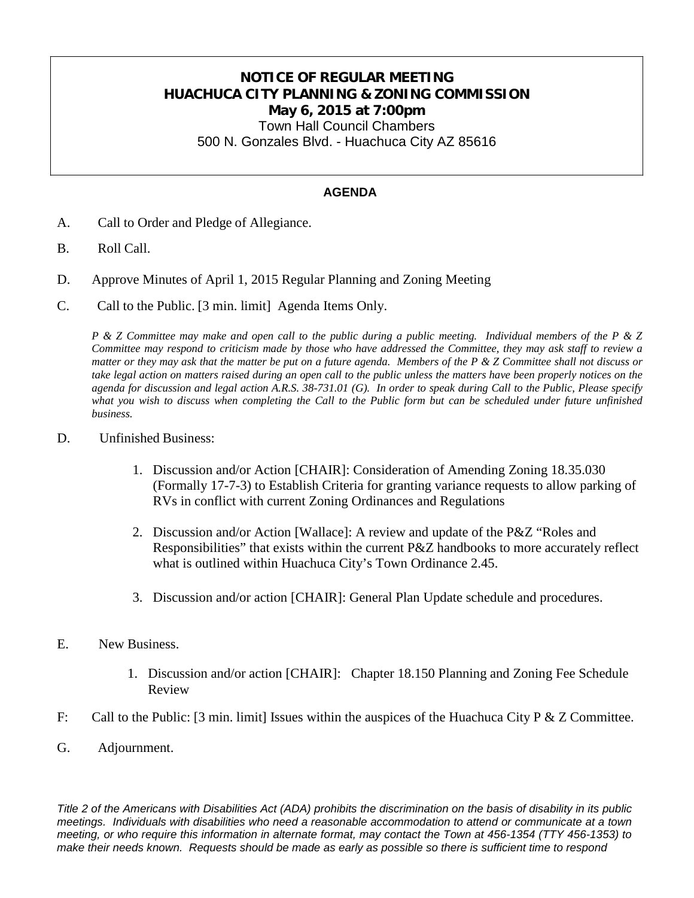# **NOTICE OF REGULAR MEETING HUACHUCA CITY PLANNING & ZONING COMMISSION May 6, 2015 at 7:00pm**

Town Hall Council Chambers 500 N. Gonzales Blvd. - Huachuca City AZ 85616

### **AGENDA**

- A. Call to Order and Pledge of Allegiance.
- B. Roll Call.
- D. Approve Minutes of April 1, 2015 Regular Planning and Zoning Meeting
- C. Call to the Public. [3 min. limit] Agenda Items Only.

*P & Z Committee may make and open call to the public during a public meeting. Individual members of the P & Z Committee may respond to criticism made by those who have addressed the Committee, they may ask staff to review a matter or they may ask that the matter be put on a future agenda. Members of the P & Z Committee shall not discuss or take legal action on matters raised during an open call to the public unless the matters have been properly notices on the agenda for discussion and legal action A.R.S. 38-731.01 (G). In order to speak during Call to the Public, Please specify*  what you wish to discuss when completing the Call to the Public form but can be scheduled under future unfinished *business.*

### D. Unfinished Business:

- 1. Discussion and/or Action [CHAIR]: Consideration of Amending Zoning 18.35.030 (Formally 17-7-3) to Establish Criteria for granting variance requests to allow parking of RVs in conflict with current Zoning Ordinances and Regulations
- 2. Discussion and/or Action [Wallace]: A review and update of the P&Z "Roles and Responsibilities" that exists within the current P&Z handbooks to more accurately reflect what is outlined within Huachuca City's Town Ordinance 2.45.
- 3. Discussion and/or action [CHAIR]: General Plan Update schedule and procedures.
- E. New Business.
	- 1. Discussion and/or action [CHAIR]: Chapter 18.150 Planning and Zoning Fee Schedule Review
- F: Call to the Public: [3 min. limit] Issues within the auspices of the Huachuca City P & Z Committee.
- G. Adjournment.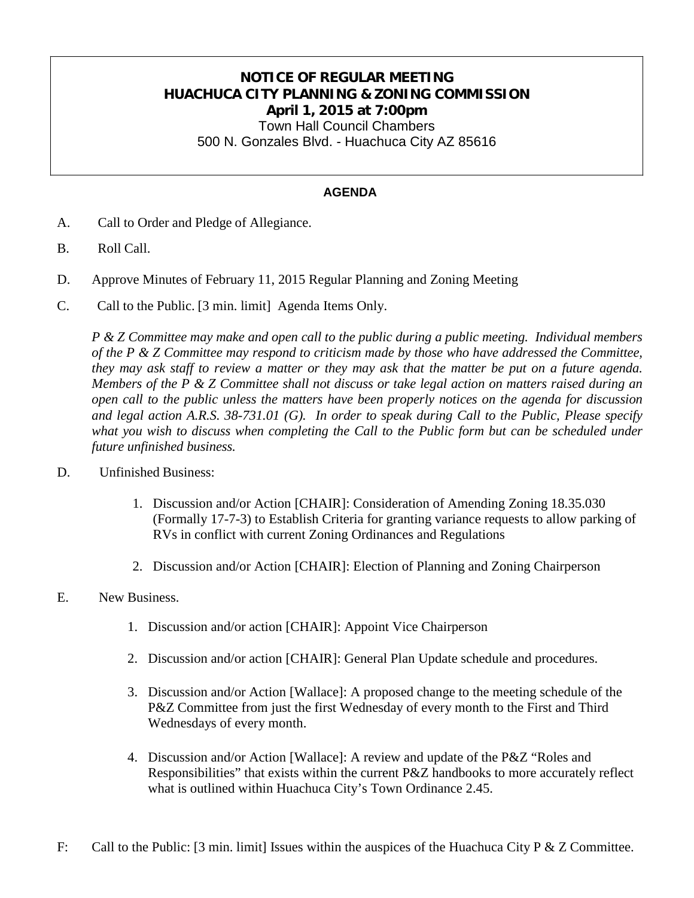# **NOTICE OF REGULAR MEETING HUACHUCA CITY PLANNING & ZONING COMMISSION April 1, 2015 at 7:00pm**

Town Hall Council Chambers 500 N. Gonzales Blvd. - Huachuca City AZ 85616

### **AGENDA**

- A. Call to Order and Pledge of Allegiance.
- B. Roll Call.
- D. Approve Minutes of February 11, 2015 Regular Planning and Zoning Meeting
- C. Call to the Public. [3 min. limit] Agenda Items Only.

*P & Z Committee may make and open call to the public during a public meeting. Individual members of the P & Z Committee may respond to criticism made by those who have addressed the Committee, they may ask staff to review a matter or they may ask that the matter be put on a future agenda. Members of the P & Z Committee shall not discuss or take legal action on matters raised during an open call to the public unless the matters have been properly notices on the agenda for discussion and legal action A.R.S. 38-731.01 (G). In order to speak during Call to the Public, Please specify*  what you wish to discuss when completing the Call to the Public form but can be scheduled under *future unfinished business.*

- D. Unfinished Business:
	- 1. Discussion and/or Action [CHAIR]: Consideration of Amending Zoning 18.35.030 (Formally 17-7-3) to Establish Criteria for granting variance requests to allow parking of RVs in conflict with current Zoning Ordinances and Regulations
	- 2. Discussion and/or Action [CHAIR]: Election of Planning and Zoning Chairperson
- E. New Business.
	- 1. Discussion and/or action [CHAIR]: Appoint Vice Chairperson
	- 2. Discussion and/or action [CHAIR]: General Plan Update schedule and procedures.
	- 3. Discussion and/or Action [Wallace]: A proposed change to the meeting schedule of the P&Z Committee from just the first Wednesday of every month to the First and Third Wednesdays of every month.
	- 4. Discussion and/or Action [Wallace]: A review and update of the P&Z "Roles and Responsibilities" that exists within the current P&Z handbooks to more accurately reflect what is outlined within Huachuca City's Town Ordinance 2.45.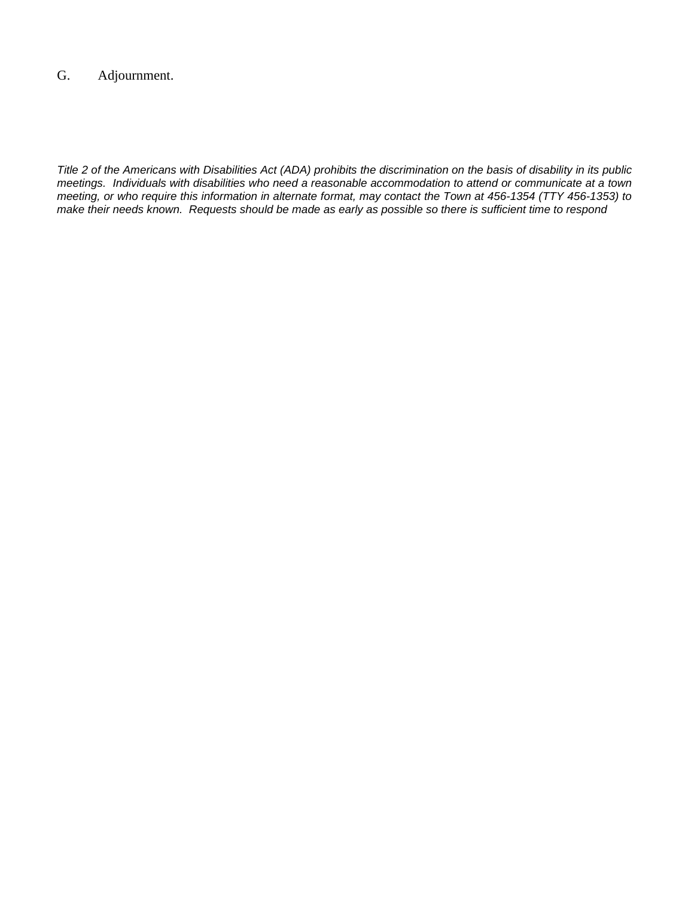## G. Adjournment.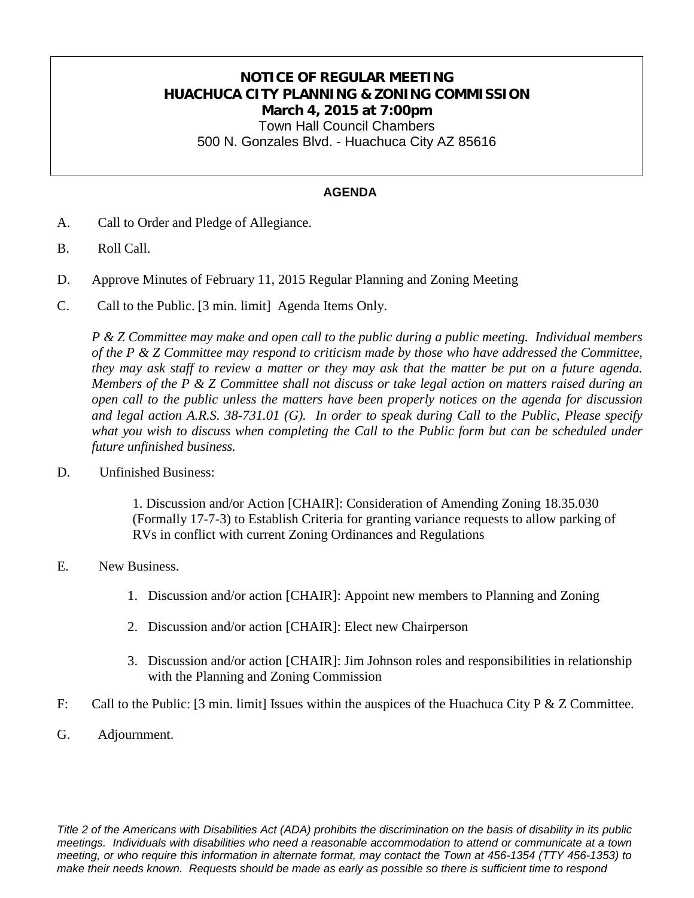# **NOTICE OF REGULAR MEETING HUACHUCA CITY PLANNING & ZONING COMMISSION March 4, 2015 at 7:00pm**

Town Hall Council Chambers 500 N. Gonzales Blvd. - Huachuca City AZ 85616

#### **AGENDA**

- A. Call to Order and Pledge of Allegiance.
- B. Roll Call.
- D. Approve Minutes of February 11, 2015 Regular Planning and Zoning Meeting
- C. Call to the Public. [3 min. limit] Agenda Items Only.

*P & Z Committee may make and open call to the public during a public meeting. Individual members of the P & Z Committee may respond to criticism made by those who have addressed the Committee, they may ask staff to review a matter or they may ask that the matter be put on a future agenda. Members of the P & Z Committee shall not discuss or take legal action on matters raised during an open call to the public unless the matters have been properly notices on the agenda for discussion and legal action A.R.S. 38-731.01 (G). In order to speak during Call to the Public, Please specify what you wish to discuss when completing the Call to the Public form but can be scheduled under future unfinished business.*

D. Unfinished Business:

1. Discussion and/or Action [CHAIR]: Consideration of Amending Zoning 18.35.030 (Formally 17-7-3) to Establish Criteria for granting variance requests to allow parking of RVs in conflict with current Zoning Ordinances and Regulations

- E. New Business.
	- 1. Discussion and/or action [CHAIR]: Appoint new members to Planning and Zoning
	- 2. Discussion and/or action [CHAIR]: Elect new Chairperson
	- 3. Discussion and/or action [CHAIR]: Jim Johnson roles and responsibilities in relationship with the Planning and Zoning Commission
- F: Call to the Public: [3 min. limit] Issues within the auspices of the Huachuca City P & Z Committee.
- G. Adjournment.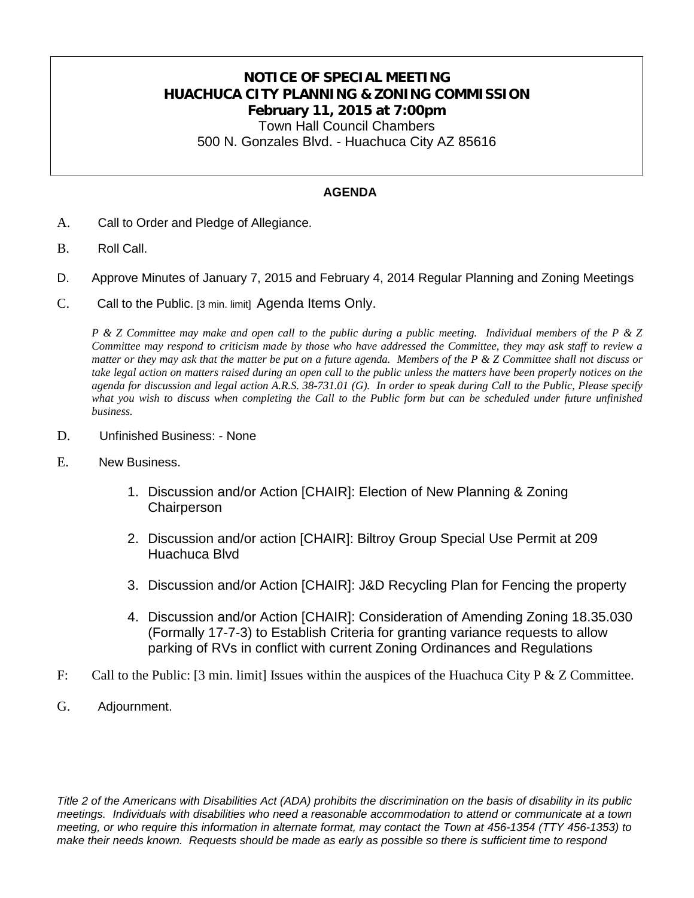## **NOTICE OF SPECIAL MEETING HUACHUCA CITY PLANNING & ZONING COMMISSION February 11, 2015 at 7:00pm** Town Hall Council Chambers

500 N. Gonzales Blvd. - Huachuca City AZ 85616

### **AGENDA**

- A. Call to Order and Pledge of Allegiance.
- B. Roll Call.
- D. Approve Minutes of January 7, 2015 and February 4, 2014 Regular Planning and Zoning Meetings
- C. Call to the Public. [3 min. limit] Agenda Items Only.

*P & Z Committee may make and open call to the public during a public meeting. Individual members of the P & Z Committee may respond to criticism made by those who have addressed the Committee, they may ask staff to review a matter or they may ask that the matter be put on a future agenda. Members of the P & Z Committee shall not discuss or take legal action on matters raised during an open call to the public unless the matters have been properly notices on the agenda for discussion and legal action A.R.S. 38-731.01 (G). In order to speak during Call to the Public, Please specify what you wish to discuss when completing the Call to the Public form but can be scheduled under future unfinished business.*

- D. Unfinished Business: None
- E. New Business.
	- 1. Discussion and/or Action [CHAIR]: Election of New Planning & Zoning **Chairperson**
	- 2. Discussion and/or action [CHAIR]: Biltroy Group Special Use Permit at 209 Huachuca Blvd
	- 3. Discussion and/or Action [CHAIR]: J&D Recycling Plan for Fencing the property
	- 4. Discussion and/or Action [CHAIR]: Consideration of Amending Zoning 18.35.030 (Formally 17-7-3) to Establish Criteria for granting variance requests to allow parking of RVs in conflict with current Zoning Ordinances and Regulations
- F: Call to the Public: [3 min. limit] Issues within the auspices of the Huachuca City P & Z Committee.
- G. Adjournment.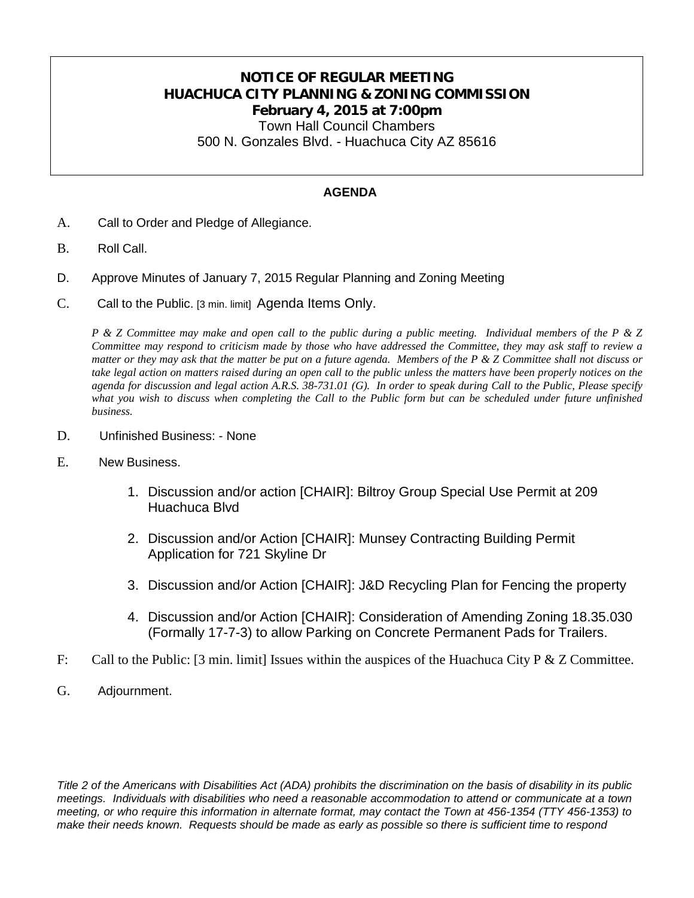# **NOTICE OF REGULAR MEETING HUACHUCA CITY PLANNING & ZONING COMMISSION February 4, 2015 at 7:00pm**

Town Hall Council Chambers 500 N. Gonzales Blvd. - Huachuca City AZ 85616

### **AGENDA**

- A. Call to Order and Pledge of Allegiance.
- B. Roll Call.
- D. Approve Minutes of January 7, 2015 Regular Planning and Zoning Meeting
- C. Call to the Public. [3 min. limit] Agenda Items Only.

*P & Z Committee may make and open call to the public during a public meeting. Individual members of the P & Z Committee may respond to criticism made by those who have addressed the Committee, they may ask staff to review a matter or they may ask that the matter be put on a future agenda. Members of the P & Z Committee shall not discuss or take legal action on matters raised during an open call to the public unless the matters have been properly notices on the agenda for discussion and legal action A.R.S. 38-731.01 (G). In order to speak during Call to the Public, Please specify what you wish to discuss when completing the Call to the Public form but can be scheduled under future unfinished business.*

- D. Unfinished Business: None
- E. New Business.
	- 1. Discussion and/or action [CHAIR]: Biltroy Group Special Use Permit at 209 Huachuca Blvd
	- 2. Discussion and/or Action [CHAIR]: Munsey Contracting Building Permit Application for 721 Skyline Dr
	- 3. Discussion and/or Action [CHAIR]: J&D Recycling Plan for Fencing the property
	- 4. Discussion and/or Action [CHAIR]: Consideration of Amending Zoning 18.35.030 (Formally 17-7-3) to allow Parking on Concrete Permanent Pads for Trailers.
- F: Call to the Public: [3 min. limit] Issues within the auspices of the Huachuca City P & Z Committee.
- G. Adjournment.